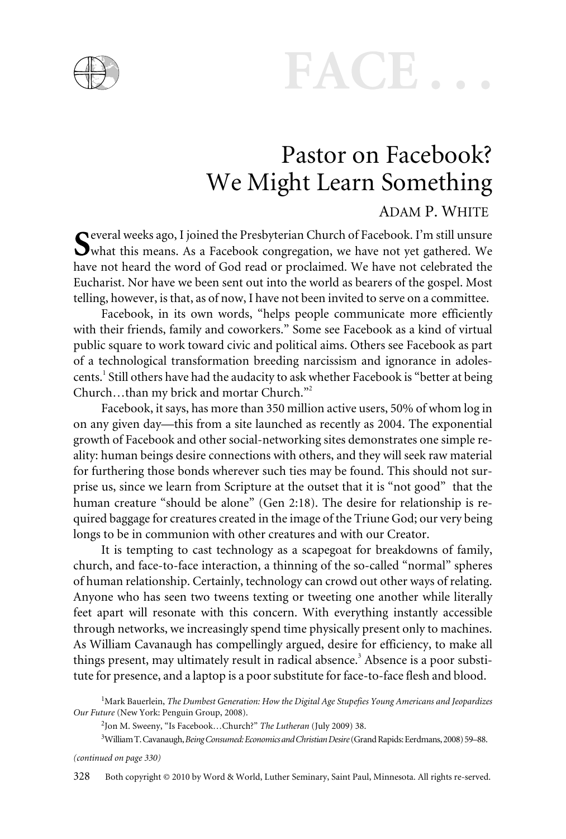



## Pastor on Facebook? We Might Learn Something

#### ADAM P. WHITE

everal weeks ago, I joined the Presbyterian Church of Facebook. I'm still unsure what this means. As a Facebook congregation, we have not yet gathered. We have not heard the word of God read or proclaimed. We have not celebrated the Eucharist. Nor have we been sent out into the world as bearers of the gospel. Most telling, however, is that, as of now, I have not been invited to serve on a committee.

Facebook, in its own words, "helps people communicate more efficiently with their friends, family and coworkers." Some see Facebook as a kind of virtual public square to work toward civic and political aims. Others see Facebook as part of a technological transformation breeding narcissism and ignorance in adolescents.<sup>1</sup> Still others have had the audacity to ask whether Facebook is "better at being Church...than my brick and mortar Church."<sup>2</sup>

Facebook, it says, has more than 350 million active users, 50% of whom log in on any given day—this from a site launched as recently as 2004. The exponential growth of Facebook and other social-networking sites demonstrates one simple reality: human beings desire connections with others, and they will seek raw material for furthering those bonds wherever such ties may be found. This should not surprise us, since we learn from Scripture at the outset that it is "not good" that the human creature "should be alone" (Gen 2:18). The desire for relationship is required baggage for creatures created in the image of the Triune God; our very being longs to be in communion with other creatures and with our Creator.

It is tempting to cast technology as a scapegoat for breakdowns of family, church, and face-to-face interaction, a thinning of the so-called "normal" spheres of human relationship. Certainly, technology can crowd out other ways of relating. Anyone who has seen two tweens texting or tweeting one another while literally feet apart will resonate with this concern. With everything instantly accessible through networks, we increasingly spend time physically present only to machines. As William Cavanaugh has compellingly argued, desire for efficiency, to make all things present, may ultimately result in radical absence.<sup>3</sup> Absence is a poor substitute for presence, and a laptop is a poor substitute for face-to-face flesh and blood.

2 Jon M. Sweeny, "Is Facebook…Church?" *The Lutheran* (July 2009) 38.

3 WilliamT.Cavanaugh,*BeingConsumed:EconomicsandChristianDesire*(GrandRapids:Eerdmans,2008)59–88.

*(continued on page 330)*

328 Both copyright © 2010 by Word & World, Luther Seminary, Saint Paul, Minnesota. All rights re-served.

<sup>1</sup> Mark Bauerlein, *The Dumbest Generation: How the Digital Age Stupefies Young Americans and Jeopardizes Our Future* (New York: Penguin Group, 2008).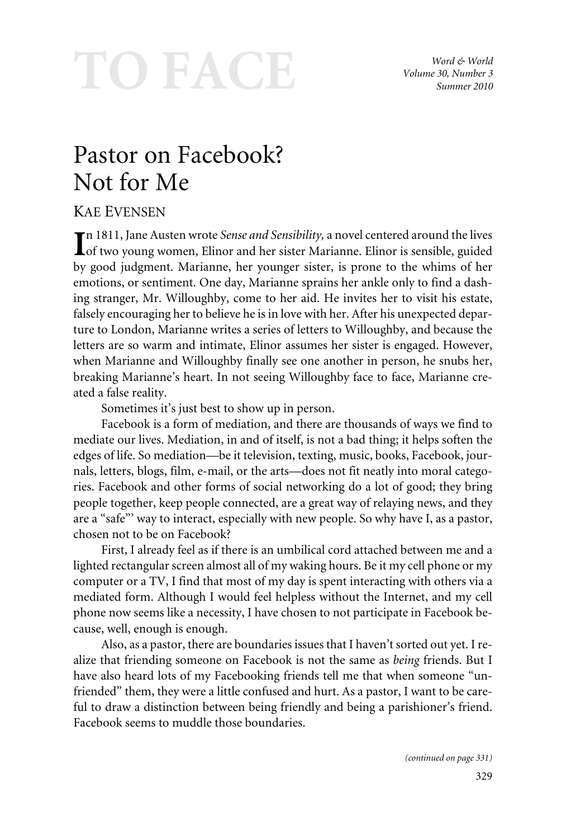# TO FACE

*Word & World Volume 30, Number 3 Summer 2010*

## Pastor on Facebook? Not for Me

### KAE EVENSEN

n 1811, Jane Austen wrote *Sense and Sensibility,* a novel centered around the lives of two young women, Elinor and her sister Marianne. Elinor is sensible, guided by good judgment. Marianne, her younger sister, is prone to the whims of her emotions, or sentiment. One day, Marianne sprains her ankle only to find a dashing stranger, Mr. Willoughby, come to her aid. He invites her to visit his estate, falsely encouraging her to believe he is in love with her. After his unexpected departure to London, Marianne writes a series of letters to Willoughby, and because the letters are so warm and intimate, Elinor assumes her sister is engaged. However, when Marianne and Willoughby finally see one another in person, he snubs her, breaking Marianne's heart. In not seeing Willoughby face to face, Marianne created a false reality.

Sometimes it's just best to show up in person.

Facebook is a form of mediation, and there are thousands of ways we find to mediate our lives. Mediation, in and of itself, is not a bad thing; it helps soften the edges of life. So mediation—be it television, texting, music, books, Facebook, journals, letters, blogs, film, e-mail, or the arts—does not fit neatly into moral categories. Facebook and other forms of social networking do a lot of good; they bring people together, keep people connected, are a great way of relaying news, and they are a "safe"' way to interact, especially with new people. So why have I, as a pastor, chosen not to be on Facebook?

First, I already feel as if there is an umbilical cord attached between me and a lighted rectangular screen almost all of my waking hours. Be it my cell phone or my computer or a TV, I find that most of my day is spent interacting with others via a mediated form. Although I would feel helpless without the Internet, and my cell phone now seems like a necessity, I have chosen to not participate in Facebook because, well, enough is enough.

Also, as a pastor, there are boundaries issues that I haven't sorted out yet. I realize that friending someone on Facebook is not the same as *being* friends. But I have also heard lots of my Facebooking friends tell me that when someone "unfriended" them, they were a little confused and hurt. As a pastor, I want to be careful to draw a distinction between being friendly and being a parishioner's friend. Facebook seems to muddle those boundaries.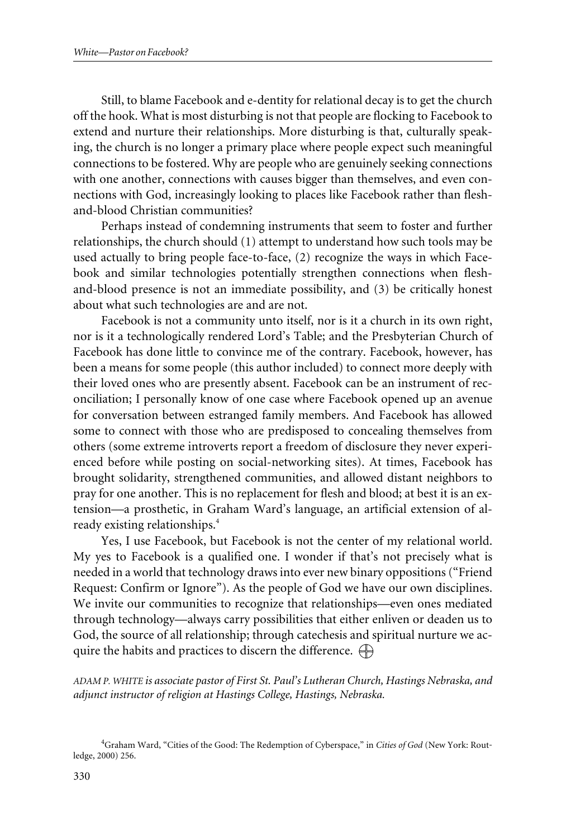Still, to blame Facebook and e-dentity for relational decay is to get the church off the hook. What is most disturbing is not that people are flocking to Facebook to extend and nurture their relationships. More disturbing is that, culturally speaking, the church is no longer a primary place where people expect such meaningful connections to be fostered. Why are people who are genuinely seeking connections with one another, connections with causes bigger than themselves, and even connections with God, increasingly looking to places like Facebook rather than fleshand-blood Christian communities?

Perhaps instead of condemning instruments that seem to foster and further relationships, the church should (1) attempt to understand how such tools may be used actually to bring people face-to-face, (2) recognize the ways in which Facebook and similar technologies potentially strengthen connections when fleshand-blood presence is not an immediate possibility, and (3) be critically honest about what such technologies are and are not.

Facebook is not a community unto itself, nor is it a church in its own right, nor is it a technologically rendered Lord's Table; and the Presbyterian Church of Facebook has done little to convince me of the contrary. Facebook, however, has been a means for some people (this author included) to connect more deeply with their loved ones who are presently absent. Facebook can be an instrument of reconciliation; I personally know of one case where Facebook opened up an avenue for conversation between estranged family members. And Facebook has allowed some to connect with those who are predisposed to concealing themselves from others (some extreme introverts report a freedom of disclosure they never experienced before while posting on social-networking sites). At times, Facebook has brought solidarity, strengthened communities, and allowed distant neighbors to pray for one another. This is no replacement for flesh and blood; at best it is an extension—a prosthetic, in Graham Ward's language, an artificial extension of already existing relationships.<sup>4</sup>

Yes, I use Facebook, but Facebook is not the center of my relational world. My yes to Facebook is a qualified one. I wonder if that's not precisely what is needed in a world that technology draws into ever new binary oppositions ("Friend Request: Confirm or Ignore"). As the people of God we have our own disciplines. We invite our communities to recognize that relationships—even ones mediated through technology—always carry possibilities that either enliven or deaden us to God, the source of all relationship; through catechesis and spiritual nurture we acquire the habits and practices to discern the difference.  $\bigoplus$ 

*ADAM P. WHITE is associate pastor of First St. Paul's Lutheran Church, Hastings Nebraska, and adjunct instructor of religion at Hastings College, Hastings, Nebraska.*

<sup>4</sup> Graham Ward, "Cities of the Good: The Redemption of Cyberspace," in *Cities of God* (New York: Routledge, 2000) 256.